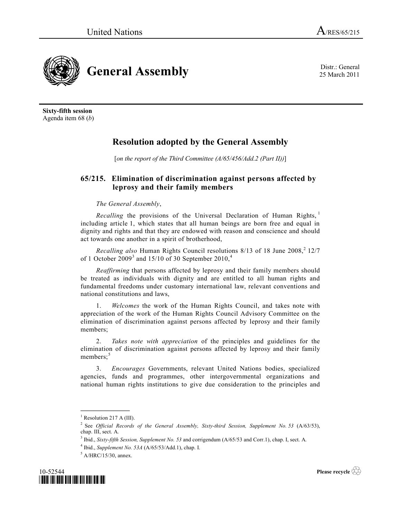25 March 2011



**Sixty-fifth session** Agenda item 68 (*b*)

## **Resolution adopted by the General Assembly**

[*on the report of the Third Committee (A/65/456/Add.2 (Part II))*]

## **65/215. Elimination of discrimination against persons affected by leprosy and their family members**

## *The General Assembly*,

*Recalling* the provisions of the Universal Declaration of Human Rights, <sup>1</sup> including article 1, which states that all human beings are born free and equal in dignity and rights and that they are endowed with reason and conscience and should act towards one another in a spirit of brotherhood,

Recalling also Human Rights Council resolutions 8/13 of 18 June 2008,<sup>2</sup> 12/7 of 1 October 2009<sup>3</sup> and 15/10 of 30 September 2010,<sup>4</sup>

*Reaffirming* that persons affected by leprosy and their family members should be treated as individuals with dignity and are entitled to all human rights and fundamental freedoms under customary international law, relevant conventions and national constitutions and laws,

1. *Welcomes* the work of the Human Rights Council, and takes note with appreciation of the work of the Human Rights Council Advisory Committee on the elimination of discrimination against persons affected by leprosy and their family members;

2. *Takes note with appreciation* of the principles and guidelines for the elimination of discrimination against persons affected by leprosy and their family members; $5$ 

3. *Encourages* Governments, relevant United Nations bodies, specialized agencies, funds and programmes, other intergovernmental organizations and national human rights institutions to give due consideration to the principles and

 $<sup>5</sup>$  A/HRC/15/30, annex.</sup>



**Please recycle** 

**\_\_\_\_\_\_\_\_\_\_\_\_\_\_\_**  $<sup>1</sup>$  Resolution 217 A (III).</sup>

<sup>2</sup> See *Official Records of the General Assembly, Sixty-third Session, Supplement No. 53* (A/63/53), chap. III, sect. A.

<sup>3</sup> Ibid., *Sixty-fifth Session, Supplement No. 53* and corrigendum (A/65/53 and Corr.1), chap. I, sect. A.

<sup>4</sup> Ibid., *Supplement No. 53A* (A/65/53/Add.1), chap. I.